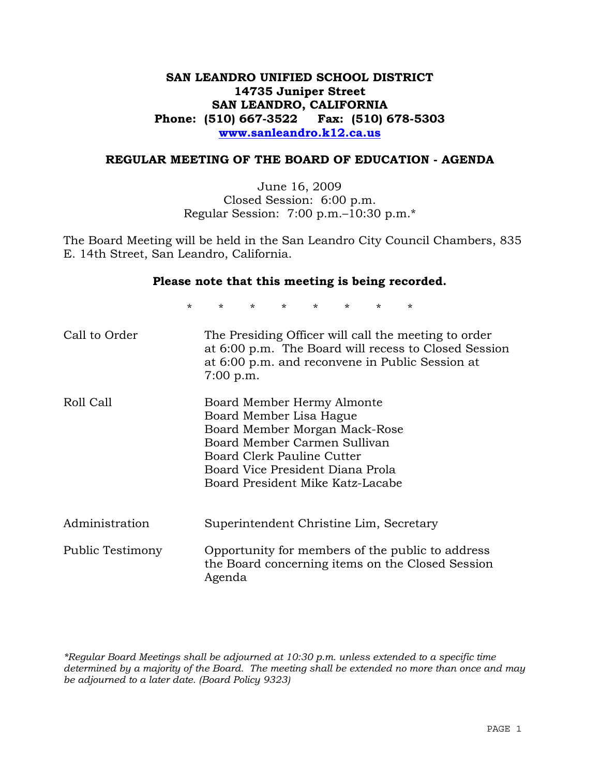## **SAN LEANDRO UNIFIED SCHOOL DISTRICT 14735 Juniper Street SAN LEANDRO, CALIFORNIA Phone: (510) 667-3522 Fax: (510) 678-5303 www.sanleandro.k12.ca.us**

### **REGULAR MEETING OF THE BOARD OF EDUCATION - AGENDA**

June 16, 2009 Closed Session: 6:00 p.m. Regular Session: 7:00 p.m.–10:30 p.m.\*

The Board Meeting will be held in the San Leandro City Council Chambers, 835 E. 14th Street, San Leandro, California.

### **Please note that this meeting is being recorded.**

\* \* \* \* \* \* \* \*

| Call to Order    | The Presiding Officer will call the meeting to order<br>at 6:00 p.m. The Board will recess to Closed Session<br>at 6:00 p.m. and reconvene in Public Session at<br>$7:00$ p.m.                                               |
|------------------|------------------------------------------------------------------------------------------------------------------------------------------------------------------------------------------------------------------------------|
| Roll Call        | Board Member Hermy Almonte<br>Board Member Lisa Hague<br>Board Member Morgan Mack-Rose<br>Board Member Carmen Sullivan<br>Board Clerk Pauline Cutter<br>Board Vice President Diana Prola<br>Board President Mike Katz-Lacabe |
| Administration   | Superintendent Christine Lim, Secretary                                                                                                                                                                                      |
| Public Testimony | Opportunity for members of the public to address<br>the Board concerning items on the Closed Session<br>Agenda                                                                                                               |

*\*Regular Board Meetings shall be adjourned at 10:30 p.m. unless extended to a specific time determined by a majority of the Board. The meeting shall be extended no more than once and may be adjourned to a later date. (Board Policy 9323)*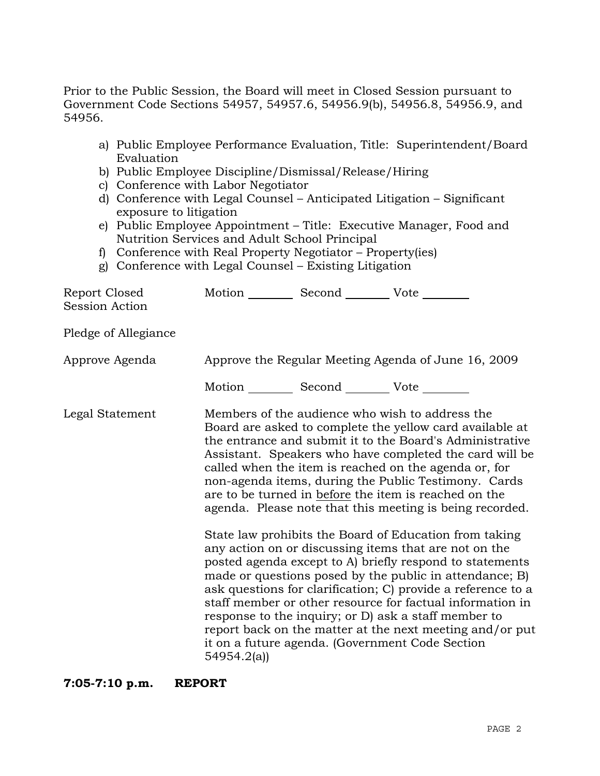Prior to the Public Session, the Board will meet in Closed Session pursuant to Government Code Sections 54957, 54957.6, 54956.9(b), 54956.8, 54956.9, and 54956.

- a) Public Employee Performance Evaluation, Title: Superintendent/Board Evaluation
- b) Public Employee Discipline/Dismissal/Release/Hiring
- c) Conference with Labor Negotiator
- d) Conference with Legal Counsel Anticipated Litigation Significant exposure to litigation
- e) Public Employee Appointment Title: Executive Manager, Food and Nutrition Services and Adult School Principal
- f) Conference with Real Property Negotiator Property(ies)
- g) Conference with Legal Counsel Existing Litigation

| Report Closed<br>Session Action | Motion ___________ Second _____________ Vote _________ |                                                                                                                                                                                                                                                                                                                                                                                                                                                                                                                                                                                                                                                                                                                                                                                                                                                                                                                                                                                                                        |
|---------------------------------|--------------------------------------------------------|------------------------------------------------------------------------------------------------------------------------------------------------------------------------------------------------------------------------------------------------------------------------------------------------------------------------------------------------------------------------------------------------------------------------------------------------------------------------------------------------------------------------------------------------------------------------------------------------------------------------------------------------------------------------------------------------------------------------------------------------------------------------------------------------------------------------------------------------------------------------------------------------------------------------------------------------------------------------------------------------------------------------|
| Pledge of Allegiance            |                                                        |                                                                                                                                                                                                                                                                                                                                                                                                                                                                                                                                                                                                                                                                                                                                                                                                                                                                                                                                                                                                                        |
| Approve Agenda                  |                                                        | Approve the Regular Meeting Agenda of June 16, 2009                                                                                                                                                                                                                                                                                                                                                                                                                                                                                                                                                                                                                                                                                                                                                                                                                                                                                                                                                                    |
|                                 | Motion __________ Second __________ Vote ________      |                                                                                                                                                                                                                                                                                                                                                                                                                                                                                                                                                                                                                                                                                                                                                                                                                                                                                                                                                                                                                        |
| Legal Statement                 | 54954.2(a)                                             | Members of the audience who wish to address the<br>Board are asked to complete the yellow card available at<br>the entrance and submit it to the Board's Administrative<br>Assistant. Speakers who have completed the card will be<br>called when the item is reached on the agenda or, for<br>non-agenda items, during the Public Testimony. Cards<br>are to be turned in before the item is reached on the<br>agenda. Please note that this meeting is being recorded.<br>State law prohibits the Board of Education from taking<br>any action on or discussing items that are not on the<br>posted agenda except to A) briefly respond to statements<br>made or questions posed by the public in attendance; B)<br>ask questions for clarification; C) provide a reference to a<br>staff member or other resource for factual information in<br>response to the inquiry; or D) ask a staff member to<br>report back on the matter at the next meeting and/or put<br>it on a future agenda. (Government Code Section |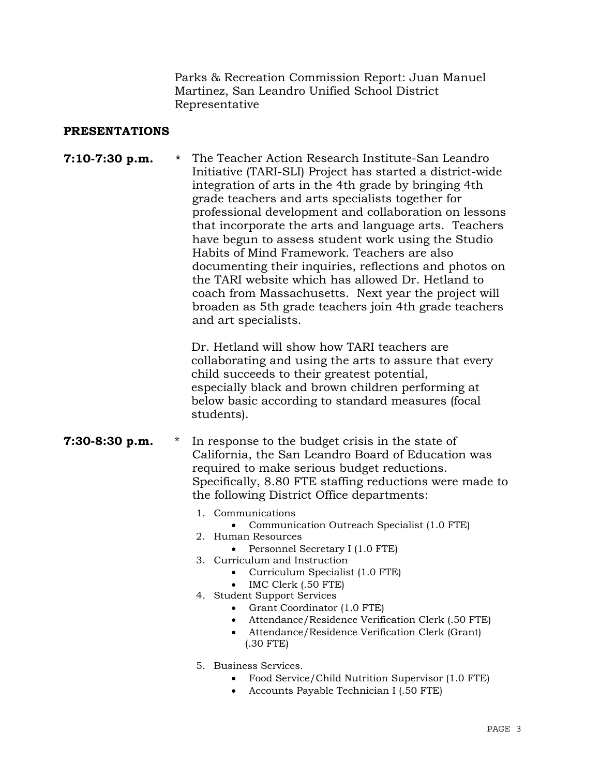Parks & Recreation Commission Report: Juan Manuel Martinez, San Leandro Unified School District Representative

### **PRESENTATIONS**

**7:10-7:30 p.m.** \* The Teacher Action Research Institute-San Leandro Initiative (TARI-SLI) Project has started a district-wide integration of arts in the 4th grade by bringing 4th grade teachers and arts specialists together for professional development and collaboration on lessons that incorporate the arts and language arts. Teachers have begun to assess student work using the Studio Habits of Mind Framework. Teachers are also documenting their inquiries, reflections and photos on the TARI website which has allowed Dr. Hetland to coach from Massachusetts. Next year the project will broaden as 5th grade teachers join 4th grade teachers and art specialists.

> Dr. Hetland will show how TARI teachers are collaborating and using the arts to assure that every child succeeds to their greatest potential, especially black and brown children performing at below basic according to standard measures (focal students).

- **7:30-8:30 p.m.** \* In response to the budget crisis in the state of California, the San Leandro Board of Education was required to make serious budget reductions. Specifically, 8.80 FTE staffing reductions were made to the following District Office departments:
	- 1. Communications
		- Communication Outreach Specialist (1.0 FTE)
	- 2. Human Resources
		- Personnel Secretary I (1.0 FTE)
	- 3. Curriculum and Instruction
		- Curriculum Specialist (1.0 FTE)
		- IMC Clerk (.50 FTE)
	- 4. Student Support Services
		- Grant Coordinator (1.0 FTE)
		- Attendance/Residence Verification Clerk (.50 FTE)
		- Attendance/Residence Verification Clerk (Grant) (.30 FTE)
	- 5. Business Services.
		- Food Service/Child Nutrition Supervisor (1.0 FTE)
		- Accounts Payable Technician I (.50 FTE)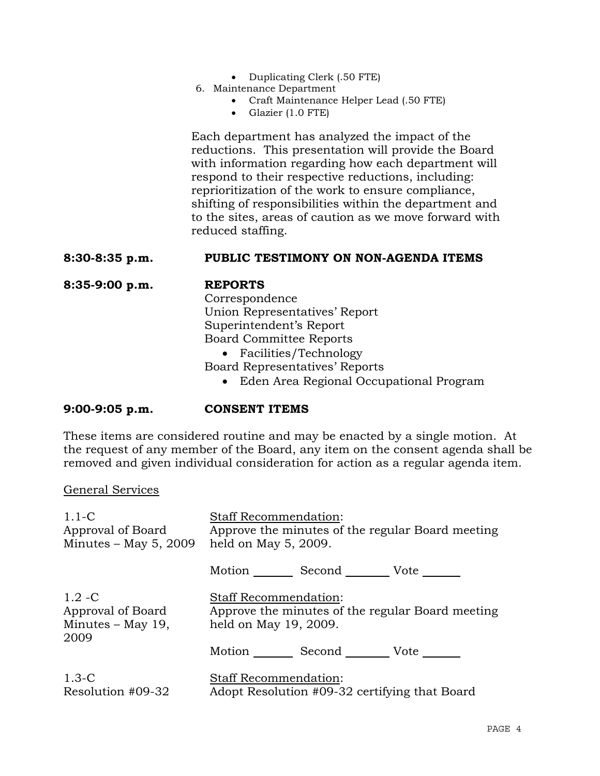- Duplicating Clerk (.50 FTE)
- 6. Maintenance Department
	- Craft Maintenance Helper Lead (.50 FTE)
	- Glazier (1.0 FTE)

 Each department has analyzed the impact of the reductions. This presentation will provide the Board with information regarding how each department will respond to their respective reductions, including: reprioritization of the work to ensure compliance, shifting of responsibilities within the department and to the sites, areas of caution as we move forward with reduced staffing.

### **8:30-8:35 p.m. PUBLIC TESTIMONY ON NON-AGENDA ITEMS**

## **8:35-9:00 p.m. REPORTS**

 Correspondence Union Representatives' Report Superintendent's Report Board Committee Reports • Facilities/Technology

Board Representatives' Reports

• Eden Area Regional Occupational Program

## **9:00-9:05 p.m. CONSENT ITEMS**

These items are considered routine and may be enacted by a single motion. At the request of any member of the Board, any item on the consent agenda shall be removed and given individual consideration for action as a regular agenda item.

### General Services

| $1.1-C$<br>Approval of Board<br>Minutes $-$ May 5, 2009     | <b>Staff Recommendation:</b><br>Approve the minutes of the regular Board meeting<br>held on May 5, 2009. |  |                                                  |
|-------------------------------------------------------------|----------------------------------------------------------------------------------------------------------|--|--------------------------------------------------|
|                                                             | Motion Second Vote                                                                                       |  |                                                  |
| $1.2 - C$<br>Approval of Board<br>Minutes – May 19,<br>2009 | <b>Staff Recommendation:</b><br>held on May 19, 2009.                                                    |  | Approve the minutes of the regular Board meeting |
|                                                             | Motion _________ Second __________ Vote _______                                                          |  |                                                  |
| $1.3-C$<br>Resolution #09-32                                | <b>Staff Recommendation:</b><br>Adopt Resolution #09-32 certifying that Board                            |  |                                                  |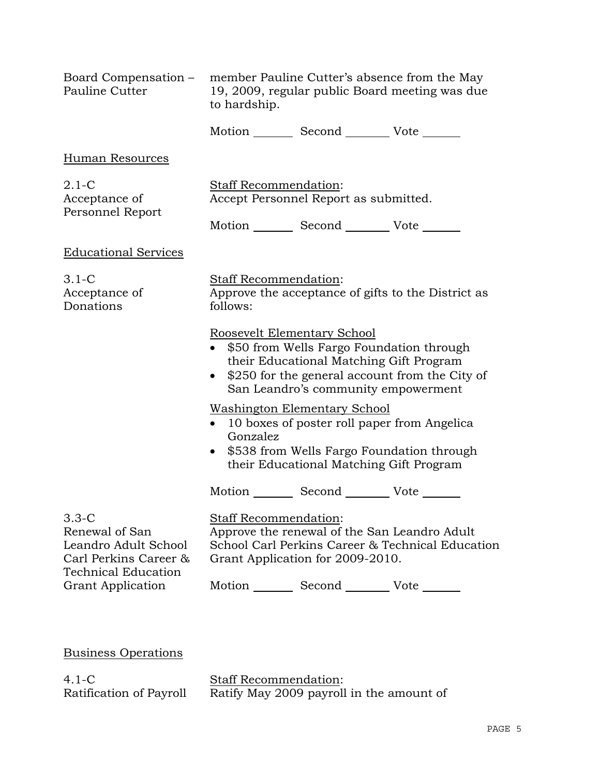| Board Compensation –<br>Pauline Cutter                                                                                               | member Pauline Cutter's absence from the May<br>19, 2009, regular public Board meeting was due<br>to hardship.                                                                                                             |                                                                                                                               |                                                    |
|--------------------------------------------------------------------------------------------------------------------------------------|----------------------------------------------------------------------------------------------------------------------------------------------------------------------------------------------------------------------------|-------------------------------------------------------------------------------------------------------------------------------|----------------------------------------------------|
|                                                                                                                                      |                                                                                                                                                                                                                            | Motion _________ Second __________ Vote _______                                                                               |                                                    |
| <b>Human Resources</b>                                                                                                               |                                                                                                                                                                                                                            |                                                                                                                               |                                                    |
| $2.1-C$<br>Acceptance of<br>Personnel Report                                                                                         | Staff Recommendation:<br>Accept Personnel Report as submitted.                                                                                                                                                             |                                                                                                                               |                                                    |
|                                                                                                                                      |                                                                                                                                                                                                                            | Motion _________ Second __________ Vote _______                                                                               |                                                    |
| <b>Educational Services</b>                                                                                                          |                                                                                                                                                                                                                            |                                                                                                                               |                                                    |
| $3.1-C$<br>Acceptance of<br>Donations                                                                                                | Staff Recommendation:<br>follows:                                                                                                                                                                                          |                                                                                                                               | Approve the acceptance of gifts to the District as |
|                                                                                                                                      | Roosevelt Elementary School<br>\$50 from Wells Fargo Foundation through<br>$\bullet$<br>their Educational Matching Gift Program<br>• \$250 for the general account from the City of<br>San Leandro's community empowerment |                                                                                                                               |                                                    |
|                                                                                                                                      | Gonzalez                                                                                                                                                                                                                   | <b>Washington Elementary School</b><br>10 boxes of poster roll paper from Angelica<br>their Educational Matching Gift Program | \$538 from Wells Fargo Foundation through          |
|                                                                                                                                      |                                                                                                                                                                                                                            | Motion _________ Second __________ Vote _______                                                                               |                                                    |
| $3.3-C$<br>Renewal of San<br>Leandro Adult School<br>Carl Perkins Career &<br><b>Technical Education</b><br><b>Grant Application</b> | Staff Recommendation:<br>Approve the renewal of the San Leandro Adult<br>School Carl Perkins Career & Technical Education<br>Grant Application for 2009-2010.                                                              |                                                                                                                               |                                                    |
|                                                                                                                                      |                                                                                                                                                                                                                            | Motion _________ Second __________ Vote _______                                                                               |                                                    |
|                                                                                                                                      |                                                                                                                                                                                                                            |                                                                                                                               |                                                    |

Business Operations

4.1-C Ratification of Payroll Staff Recommendation: Ratify May 2009 payroll in the amount of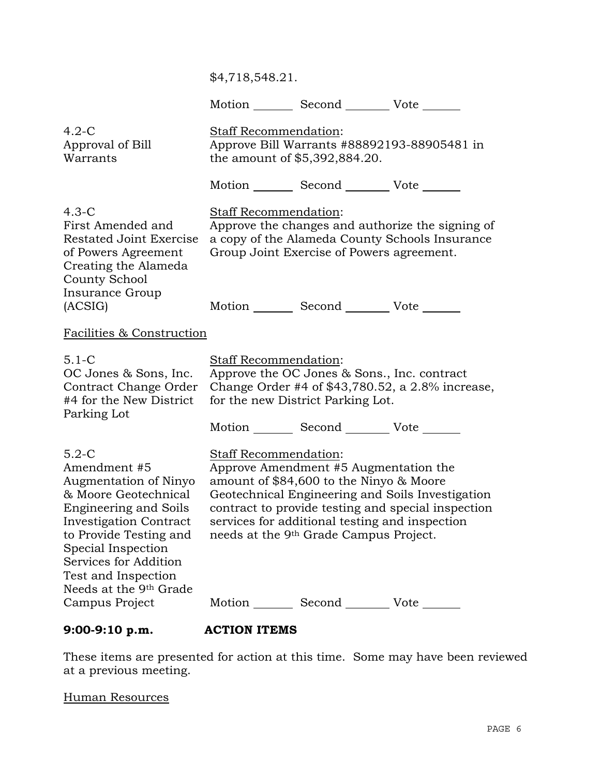Motion Second Vote

| $4.2 - C$<br>Approval of Bill<br>Warrants                                                                                                                                                                                                                                                         | <b>Staff Recommendation:</b><br>the amount of \$5,392,884.20. |                                                                                                                                                                                                                                | Approve Bill Warrants #88892193-88905481 in                                                            |
|---------------------------------------------------------------------------------------------------------------------------------------------------------------------------------------------------------------------------------------------------------------------------------------------------|---------------------------------------------------------------|--------------------------------------------------------------------------------------------------------------------------------------------------------------------------------------------------------------------------------|--------------------------------------------------------------------------------------------------------|
|                                                                                                                                                                                                                                                                                                   |                                                               | Motion Second Vote                                                                                                                                                                                                             |                                                                                                        |
| $4.3-C$<br>First Amended and<br><b>Restated Joint Exercise</b><br>of Powers Agreement<br>Creating the Alameda<br><b>County School</b>                                                                                                                                                             | Staff Recommendation:                                         | Group Joint Exercise of Powers agreement.                                                                                                                                                                                      | Approve the changes and authorize the signing of<br>a copy of the Alameda County Schools Insurance     |
| Insurance Group<br>(ACSIG)                                                                                                                                                                                                                                                                        |                                                               | Motion _________ Second __________ Vote _______                                                                                                                                                                                |                                                                                                        |
| Facilities & Construction                                                                                                                                                                                                                                                                         |                                                               |                                                                                                                                                                                                                                |                                                                                                        |
| $5.1 - C$<br>OC Jones & Sons, Inc.<br>Contract Change Order<br>#4 for the New District<br>Parking Lot                                                                                                                                                                                             | Staff Recommendation:                                         | Approve the OC Jones & Sons., Inc. contract<br>for the new District Parking Lot.                                                                                                                                               | Change Order #4 of \$43,780.52, a 2.8% increase,                                                       |
|                                                                                                                                                                                                                                                                                                   |                                                               | Motion Second Vote                                                                                                                                                                                                             |                                                                                                        |
| $5.2-C$<br>Amendment #5<br>Augmentation of Ninyo<br>& Moore Geotechnical<br><b>Engineering and Soils</b><br><b>Investigation Contract</b><br>to Provide Testing and<br>Special Inspection<br>Services for Addition<br>Test and Inspection<br>Needs at the 9 <sup>th</sup> Grade<br>Campus Project | <b>Staff Recommendation:</b>                                  | Approve Amendment #5 Augmentation the<br>amount of \$84,600 to the Ninyo & Moore<br>services for additional testing and inspection<br>needs at the 9th Grade Campus Project.<br>Motion _________ Second _________ Vote _______ | Geotechnical Engineering and Soils Investigation<br>contract to provide testing and special inspection |
|                                                                                                                                                                                                                                                                                                   |                                                               |                                                                                                                                                                                                                                |                                                                                                        |

**9:00-9:10 p.m. ACTION ITEMS** 

These items are presented for action at this time. Some may have been reviewed at a previous meeting.

## Human Resources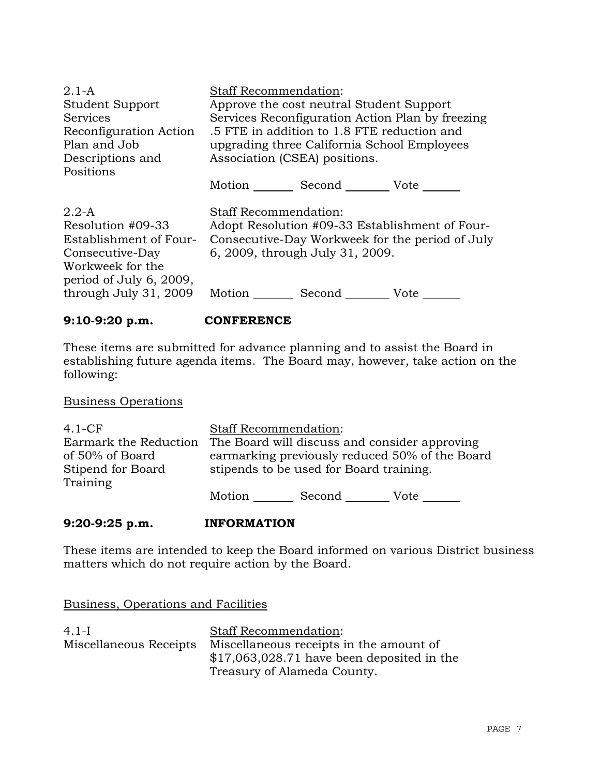| $2.1-A$                 | <b>Staff Recommendation:</b>                     |
|-------------------------|--------------------------------------------------|
| <b>Student Support</b>  | Approve the cost neutral Student Support         |
| <b>Services</b>         | Services Reconfiguration Action Plan by freezing |
| Reconfiguration Action  | .5 FTE in addition to 1.8 FTE reduction and      |
| Plan and Job            | upgrading three California School Employees      |
| Descriptions and        | Association (CSEA) positions.                    |
| Positions               | Motion _________ Second __________ Vote _______  |
| $2.2-A$                 | Staff Recommendation:                            |
| Resolution #09-33       | Adopt Resolution #09-33 Establishment of Four-   |
| Establishment of Four-  | Consecutive-Day Workweek for the period of July  |
| Consecutive-Day         | 6, 2009, through July 31, 2009.                  |
| Workweek for the        | Motion                                           |
| period of July 6, 2009, | Second                                           |
| through July 31, 2009   | Vote                                             |

## **9:10-9:20 p.m. CONFERENCE**

These items are submitted for advance planning and to assist the Board in establishing future agenda items. The Board may, however, take action on the following:

## Business Operations

| $4.1-CF$                                 | <b>Staff Recommendation:</b> |                                         |                                                                                                 |
|------------------------------------------|------------------------------|-----------------------------------------|-------------------------------------------------------------------------------------------------|
| Earmark the Reduction<br>of 50% of Board |                              |                                         | The Board will discuss and consider approving<br>earmarking previously reduced 50% of the Board |
| Stipend for Board<br>Training            |                              | stipends to be used for Board training. |                                                                                                 |
|                                          | Motion                       | Second                                  | Vote                                                                                            |

## **9:20-9:25 p.m. INFORMATION**

These items are intended to keep the Board informed on various District business matters which do not require action by the Board.

Business, Operations and Facilities

| $4.1-I$                | <b>Staff Recommendation:</b>                |
|------------------------|---------------------------------------------|
| Miscellaneous Receipts | Miscellaneous receipts in the amount of     |
|                        | $$17,063,028.71$ have been deposited in the |
|                        | Treasury of Alameda County.                 |